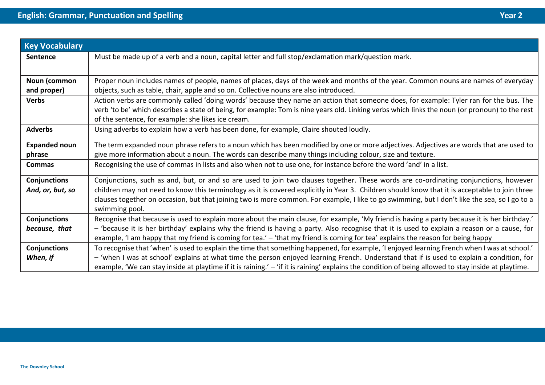| <b>Key Vocabulary</b> |                                                                                                                                                                 |  |
|-----------------------|-----------------------------------------------------------------------------------------------------------------------------------------------------------------|--|
| <b>Sentence</b>       | Must be made up of a verb and a noun, capital letter and full stop/exclamation mark/question mark.                                                              |  |
|                       |                                                                                                                                                                 |  |
| Noun (common          | Proper noun includes names of people, names of places, days of the week and months of the year. Common nouns are names of everyday                              |  |
| and proper)           | objects, such as table, chair, apple and so on. Collective nouns are also introduced.                                                                           |  |
| <b>Verbs</b>          | Action verbs are commonly called 'doing words' because they name an action that someone does, for example: Tyler ran for the bus. The                           |  |
|                       | verb 'to be' which describes a state of being, for example: Tom is nine years old. Linking verbs which links the noun (or pronoun) to the rest                  |  |
|                       | of the sentence, for example: she likes ice cream.                                                                                                              |  |
| <b>Adverbs</b>        | Using adverbs to explain how a verb has been done, for example, Claire shouted loudly.                                                                          |  |
| <b>Expanded noun</b>  | The term expanded noun phrase refers to a noun which has been modified by one or more adjectives. Adjectives are words that are used to                         |  |
| phrase                | give more information about a noun. The words can describe many things including colour, size and texture.                                                      |  |
| <b>Commas</b>         | Recognising the use of commas in lists and also when not to use one, for instance before the word 'and' in a list.                                              |  |
| Conjunctions          | Conjunctions, such as and, but, or and so are used to join two clauses together. These words are co-ordinating conjunctions, however                            |  |
| And, or, but, so      | children may not need to know this terminology as it is covered explicitly in Year 3. Children should know that it is acceptable to join three                  |  |
|                       | clauses together on occasion, but that joining two is more common. For example, I like to go swimming, but I don't like the sea, so I go to a<br>swimming pool. |  |
| <b>Conjunctions</b>   | Recognise that because is used to explain more about the main clause, for example, 'My friend is having a party because it is her birthday.'                    |  |
| because, that         | - 'because it is her birthday' explains why the friend is having a party. Also recognise that it is used to explain a reason or a cause, for                    |  |
|                       | example, 'I am happy that my friend is coming for tea.' - 'that my friend is coming for tea' explains the reason for being happy                                |  |
| <b>Conjunctions</b>   | To recognise that 'when' is used to explain the time that something happened, for example, 'I enjoyed learning French when I was at school.'                    |  |
| When, if              | - 'when I was at school' explains at what time the person enjoyed learning French. Understand that if is used to explain a condition, for                       |  |
|                       | example, 'We can stay inside at playtime if it is raining.' - 'if it is raining' explains the condition of being allowed to stay inside at playtime.            |  |